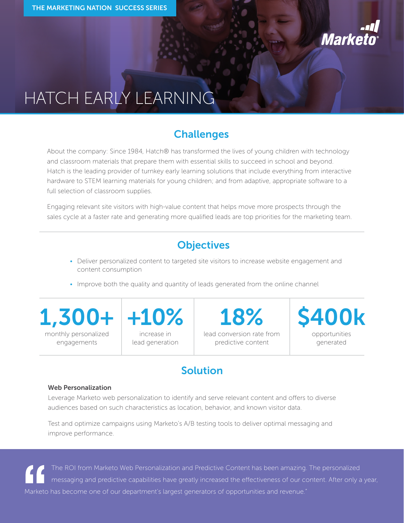

# HATCH EARLY LEARNING

## **Challenges**

About the company: Since 1984, Hatch® has transformed the lives of young children with technology and classroom materials that prepare them with essential skills to succeed in school and beyond. Hatch is the leading provider of turnkey early learning solutions that include everything from interactive hardware to STEM learning materials for young children; and from adaptive, appropriate software to a full selection of classroom supplies.

Engaging relevant site visitors with high-value content that helps move more prospects through the sales cycle at a faster rate and generating more qualified leads are top priorities for the marketing team.

# **Objectives**

- Deliver personalized content to targeted site visitors to increase website engagement and content consumption
- Improve both the quality and quantity of leads generated from the online channel

monthly personalized engagements

increase in lead generation lead conversion rate from predictive content **18%**

opportunities generated **1,300+ +10% \$400k**

# **Solution**

#### **Web Personalization**

Leverage Marketo web personalization to identify and serve relevant content and offers to diverse audiences based on such characteristics as location, behavior, and known visitor data.

Test and optimize campaigns using Marketo's A/B testing tools to deliver optimal messaging and improve performance.

The ROI from Marketo Web Personalization and Predictive Content has been amazing. The personalized messaging and predictive capabilities have greatly increased the effectiveness of our content. After only a year, Marketo has become one of our department's largest generators of opportunities and revenue."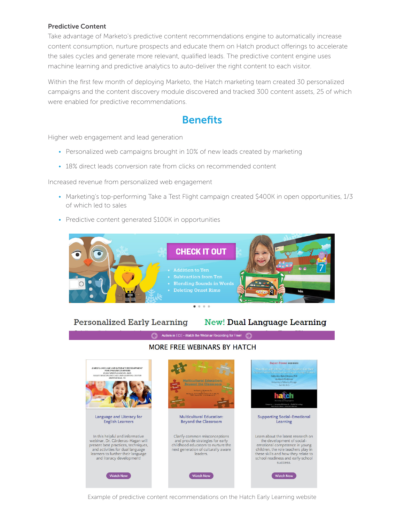#### **Predictive Content**

Take advantage of Marketo's predictive content recommendations engine to automatically increase content consumption, nurture prospects and educate them on Hatch product offerings to accelerate the sales cycles and generate more relevant, qualified leads. The predictive content engine uses machine learning and predictive analytics to auto-deliver the right content to each visitor.

Within the first few month of deploying Marketo, the Hatch marketing team created 30 personalized campaigns and the content discovery module discovered and tracked 300 content assets, 25 of which were enabled for predictive recommendations.

# **Benefits**

Higher web engagement and lead generation

- Personalized web campaigns brought in 10% of new leads created by marketing
- 18% direct leads conversion rate from clicks on recommended content

Increased revenue from personalized web engagement

- Marketing's top-performing Take a Test Flight campaign created \$400K in open opportunities, 1/3 of which led to sales
- Predictive content generated \$100K in opportunities



### **Personalized Early Learning**

## **New! Dual Language Learning**

## Autism in ECE - Watch the Webinar Recording for Free! **MORE FREE WEBINARS BY HATCH**



Example of predictive content recommendations on the Hatch Early Learning website